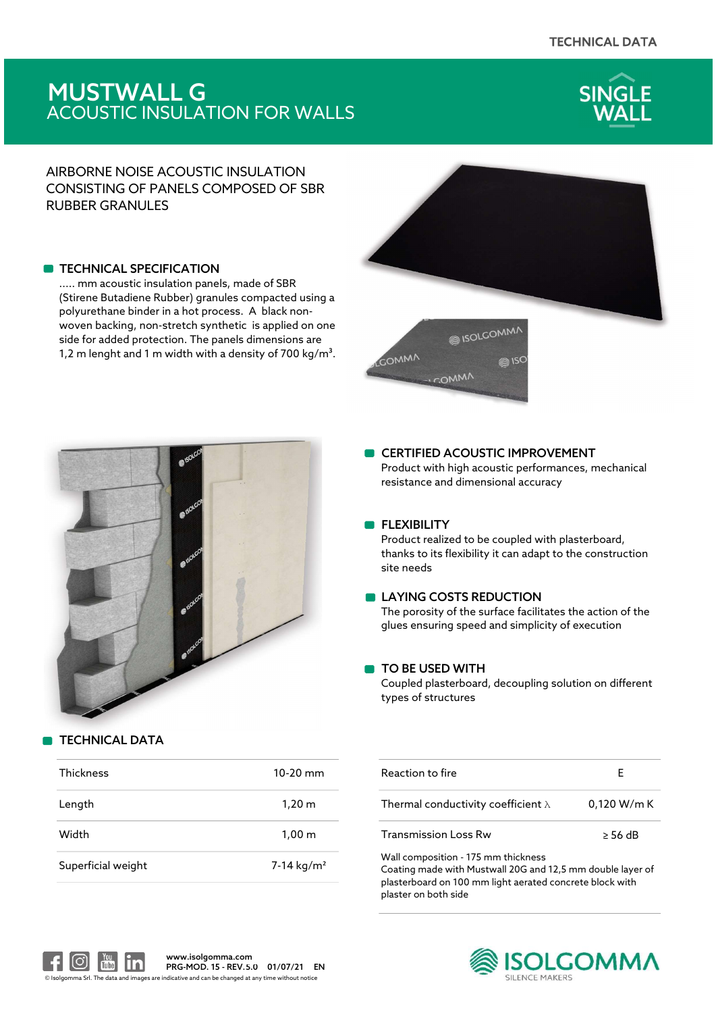# ACOUSTIC INSULATION FOR WALLS MUSTWALL G



# AIRBORNE NOISE ACOUSTIC INSULATION CONSISTING OF PANELS COMPOSED OF SBR RUBBER GRANULES

### **TECHNICAL SPECIFICATION**

..... mm acoustic insulation panels, made of SBR (Stirene Butadiene Rubber) granules compacted using a polyurethane binder in a hot process. A black nonwoven backing, non-stretch synthetic is applied on one side for added protection. The panels dimensions are 1,2 m lenght and 1 m width with a density of 700 kg/m<sup>3</sup>.



# SOLCOMMA



### **CERTIFIED ACOUSTIC IMPROVEMENT** Product with high acoustic performances, mechanical

resistance and dimensional accuracy

### **FLEXIBILITY**

Product realized to be coupled with plasterboard, thanks to its flexibility it can adapt to the construction site needs

## **LAYING COSTS REDUCTION**

The porosity of the surface facilitates the action of the glues ensuring speed and simplicity of execution

### **TO BE USED WITH**

Coupled plasterboard, decoupling solution on different types of structures

| <b>Thickness</b>   | $10-20$ mm             | Reaction to fire                                                                               |              |
|--------------------|------------------------|------------------------------------------------------------------------------------------------|--------------|
| Length             | 1.20 m                 | Thermal conductivity coefficient $\lambda$                                                     | 0,120 W/n    |
| Width              | 1.00 m                 | <b>Transmission Loss Rw</b>                                                                    | $\geq$ 56 dB |
| Superficial weight | 7-14 kg/m <sup>2</sup> | Wall composition - 175 mm thickness<br>Coating made with Mustwall 20G and 12,5 mm double layer |              |

| Reaction to fire                                                                                  | F            |
|---------------------------------------------------------------------------------------------------|--------------|
| Thermal conductivity coefficient $\lambda$                                                        | 0,120 W/m K  |
| <b>Transmission Loss Rw</b>                                                                       | $\geq$ 56 dB |
| Wall composition - 175 mm thickness<br>Coating made with Mustwall 20G and 12,5 mm double layer of |              |

Coating made with Mustwall 20G and 12,5 mm double layer of plasterboard on 100 mm light aerated concrete block with plaster on both side